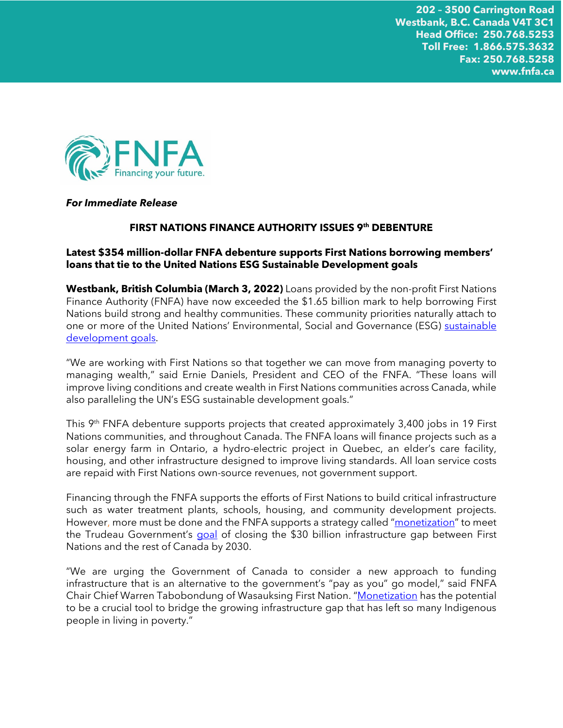

#### *For Immediate Release*

# **FIRST NATIONS FINANCE AUTHORITY ISSUES 9th DEBENTURE**

# **Latest \$354 million-dollar FNFA debenture supports First Nations borrowing members' loans that tie to the United Nations ESG Sustainable Development goals**

**Westbank, British Columbia (March 3, 2022)** Loans provided by the non-profit First Nations Finance Authority (FNFA) have now exceeded the \$1.65 billion mark to help borrowing First Nations build strong and healthy communities. These community priorities naturally attach to one or more of the United Nations' Environmental, Social and Governance (ESG) [sustainable](https://sdgs.un.org/goals)  [development goals.](https://sdgs.un.org/goals)

"We are working with First Nations so that together we can move from managing poverty to managing wealth," said Ernie Daniels, President and CEO of the FNFA. "These loans will improve living conditions and create wealth in First Nations communities across Canada, while also paralleling the UN's ESG sustainable development goals."

This 9<sup>th</sup> FNFA debenture supports projects that created approximately 3,400 jobs in 19 First Nations communities, and throughout Canada. The FNFA loans will finance projects such as a solar energy farm in Ontario, a hydro-electric project in Quebec, an elder's care facility, housing, and other infrastructure designed to improve living standards. All loan service costs are repaid with First Nations own-source revenues, not government support.

Financing through the FNFA supports the efforts of First Nations to build critical infrastructure such as water treatment plants, schools, housing, and community development projects. However, more must be done and the FNFA supports a strategy called "[monetization](https://policyoptions.irpp.org/magazines/january-2022/diesel-fuel-could-be-replaced-quicker-for-indigenous-communities-through-monetization/)" to meet the Trudeau Government's [goal](https://pm.gc.ca/en/mandate-letters/2021/12/16/minister-crown-indigenous-relations-mandate-letter) of closing the \$30 billion infrastructure gap between First Nations and the rest of Canada by 2030.

"We are urging the Government of Canada to consider a new approach to funding infrastructure that is an alternative to the government's "pay as you" go model," said FNFA Chair Chief Warren Tabobondung of Wasauksing First Nation. "[Monetization](https://www.fnfa.ca/en/about/news-media/) has the potential to be a crucial tool to bridge the growing infrastructure gap that has left so many Indigenous people in living in poverty."